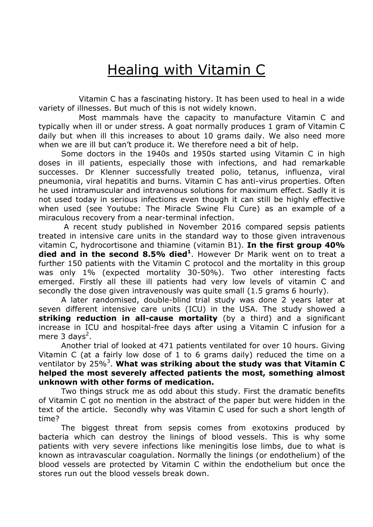## Healing with Vitamin C

 Vitamin C has a fascinating history. It has been used to heal in a wide variety of illnesses. But much of this is not widely known.

 Most mammals have the capacity to manufacture Vitamin C and typically when ill or under stress. A goat normally produces 1 gram of Vitamin C daily but when ill this increases to about 10 grams daily. We also need more when we are ill but can't produce it. We therefore need a bit of help.

Some doctors in the 1940s and 1950s started using Vitamin C in high doses in ill patients, especially those with infections, and had remarkable successes. Dr Klenner successfully treated polio, tetanus, influenza, viral pneumonia, viral hepatitis and burns. Vitamin C has anti-virus properties. Often he used intramuscular and intravenous solutions for maximum effect. Sadly it is not used today in serious infections even though it can still be highly effective when used (see Youtube: The Miracle Swine Flu Cure) as an example of a miraculous recovery from a near-terminal infection.

 A recent study published in November 2016 compared sepsis patients treated in intensive care units in the standard way to those given intravenous vitamin C, hydrocortisone and thiamine (vitamin B1). In the first group 40% died and in the second 8.5% died<sup>1</sup>. However Dr Marik went on to treat a further 150 patients with the Vitamin C protocol and the mortality in this group was only 1% (expected mortality 30-50%). Two other interesting facts emerged. Firstly all these ill patients had very low levels of vitamin C and secondly the dose given intravenously was quite small (1.5 grams 6 hourly).

A later randomised, double-blind trial study was done 2 years later at seven different intensive care units (ICU) in the USA. The study showed a striking reduction in all-cause mortality (by a third) and a significant increase in ICU and hospital-free days after using a Vitamin C infusion for a mere 3 days<sup>2</sup>.

Another trial of looked at 471 patients ventilated for over 10 hours. Giving Vitamin C (at a fairly low dose of 1 to 6 grams daily) reduced the time on a ventilator by 25%<sup>3</sup>. What was striking about the study was that Vitamin C helped the most severely affected patients the most, something almost unknown with other forms of medication.

Two things struck me as odd about this study. First the dramatic benefits of Vitamin C got no mention in the abstract of the paper but were hidden in the text of the article. Secondly why was Vitamin C used for such a short length of time?

The biggest threat from sepsis comes from exotoxins produced by bacteria which can destroy the linings of blood vessels. This is why some patients with very severe infections like meningitis lose limbs, due to what is known as intravascular coagulation. Normally the linings (or endothelium) of the blood vessels are protected by Vitamin C within the endothelium but once the stores run out the blood vessels break down.